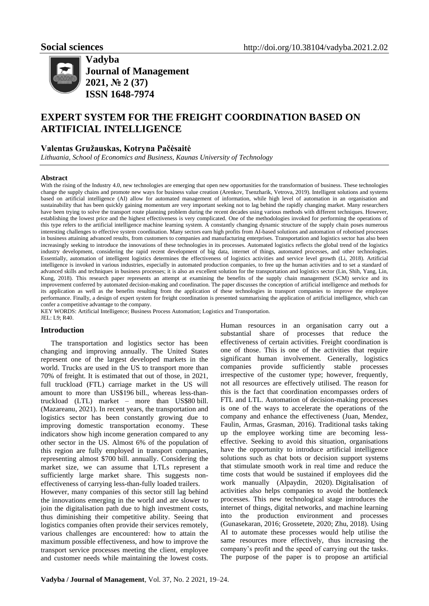

**Vadyba Journal of Management 2021, № 2 (37) ISSN 1648-7974**

# **EXPERT SYSTEM FOR THE FREIGHT COORDINATION BASED ON ARTIFICIAL INTELLIGENCE**

## **Valentas Gružauskas, Kotryna Pačėsaitė**

*Lithuania, School of Economics and Business, Kaunas University of Technology*

#### **Abstract**

With the rising of the Industry 4.0, new technologies are emerging that open new opportunities for the transformation of business. These technologies change the supply chains and promote new ways for business value creation (Arenkov, Tsenzharik, Vetrova, 2019). Intelligent solutions and systems based on artificial intelligence (AI) allow for automated management of information, while high level of automation in an organisation and sustainability that has been quickly gaining momentum are very important seeking not to lag behind the rapidly changing market. Many researchers have been trying to solve the transport route planning problem during the recent decades using various methods with different techniques. However, establishing the lowest price and the highest effectiveness is very complicated. One of the methodologies invoked for performing the operations of this type refers to the artificial intelligence machine learning system. A constantly changing dynamic structure of the supply chain poses numerous interesting challenges to effective system coordination. Many sectors earn high profits from AI-based solutions and automation of robotised processes in business attaining advanced results, from customers to companies and manufacturing enterprises. Transportation and logistics sector has also been increasingly seeking to introduce the innovations of these technologies in its processes. Automated logistics reflects the global trend of the logistics industry development, considering the rapid recent development of big data, internet of things, automated processes, and other technologies. Essentially, automation of intelligent logistics determines the effectiveness of logistics activities and service level growth (Li, 2018). Artificial intelligence is invoked in various industries, especially in automated production companies, to free up the human activities and to set a standard of advanced skills and techniques in business processes; it is also an excellent solution for the transportation and logistics sector (Lin, Shih, Yang, Lin, Kung, 2018). This research paper represents an attempt at examining the benefits of the supply chain management (SCM) service and its improvement conferred by automated decision-making and coordination. The paper discusses the conception of artificial intelligence and methods for its application as well as the benefits resulting from the application of these technologies in transport companies to improve the employee performance. Finally, a design of expert system for freight coordination is presented summarising the application of artificial intelligence, which can confer a competitive advantage to the company.

KEY WORDS: Artificial Intelligence; Business Process Automation; Logistics and Transportation. JEL: L9; R40.

### **Introduction**

The transportation and logistics sector has been changing and improving annually. The United States represent one of the largest developed markets in the world. Trucks are used in the US to transport more than 70% of freight. It is estimated that out of those, in 2021, full truckload (FTL) carriage market in the US will amount to more than US\$196 bill., whereas less-thantruckload (LTL) market – more than US\$80 bill. [\(Mazareanu,](https://www.statista.com/aboutus/our-research-commitment/923/e--mazareanu) 2021). In recent years, the transportation and logistics sector has been constantly growing due to improving domestic transportation economy. These indicators show high income generation compared to any other sector in the US. Almost 6% of the population of this region are fully employed in transport companies, representing almost \$700 bill. annually. Considering the market size, we can assume that LTLs represent a sufficiently large market share. This suggests noneffectiveness of carrying less-than-fully loaded trailers.

However, many companies of this sector still lag behind the innovations emerging in the world and are slower to join the digitalisation path due to high investment costs, thus diminishing their competitive ability. Seeing that logistics companies often provide their services remotely, various challenges are encountered: how to attain the maximum possible effectiveness, and how to improve the transport service processes meeting the client, employee and customer needs while maintaining the lowest costs.

Human resources in an organisation carry out a substantial share of processes that reduce the effectiveness of certain activities. Freight coordination is one of those. This is one of the activities that require significant human involvement. Generally, logistics companies provide sufficiently stable processes irrespective of the customer type; however, frequently, not all resources are effectively utilised. The reason for this is the fact that coordination encompasses orders of FTL and LTL. Automation of decision-making processes is one of the ways to accelerate the operations of the company and enhance the effectiveness (Juan, Mendez, Faulin, Armas, Grasman, 2016). Traditional tasks taking up the employee working time are becoming lesseffective. Seeking to avoid this situation, organisations have the opportunity to introduce artificial intelligence solutions such as chat bots or decision support systems that stimulate smooth work in real time and reduce the time costs that would be sustained if employees did the work manually (Alpaydin, 2020). Digitalisation of activities also helps companies to avoid the bottleneck processes. This new technological stage introduces the internet of things, digital networks, and machine learning into the production environment and processes (Gunasekaran, 2016; Grossetete, 2020; Zhu, 2018). Using AI to automate these processes would help utilise the same resources more effectively, thus increasing the company's profit and the speed of carrying out the tasks. The purpose of the paper is to propose an artificial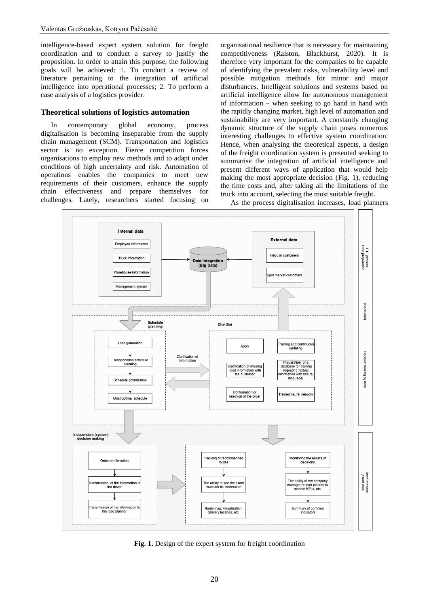intelligence-based expert system solution for freight coordination and to conduct a survey to justify the proposition. In order to attain this purpose, the following goals will be achieved: 1. To conduct a review of literature pertaining to the integration of artificial intelligence into operational processes; 2. To perform a case analysis of a logistics provider.

#### **Theoretical solutions of logistics automation**

In contemporary global economy, process digitalisation is becoming inseparable from the supply chain management (SCM). Transportation and logistics sector is no exception. Fierce competition forces organisations to employ new methods and to adapt under conditions of high uncertainty and risk. Automation of operations enables the companies to meet new requirements of their customers, enhance the supply chain effectiveness and prepare themselves for challenges. Lately, researchers started focusing on organisational resilience that is necessary for maintaining competitiveness (Ralston, Blackhurst, 2020). It is therefore very important for the companies to be capable of identifying the prevalent risks, vulnerability level and possible mitigation methods for minor and major disturbances. Intelligent solutions and systems based on artificial intelligence allow for autonomous management of information – when seeking to go hand in hand with the rapidly changing market, high level of automation and sustainability are very important. A constantly changing dynamic structure of the supply chain poses numerous interesting challenges to effective system coordination. Hence, when analysing the theoretical aspects, a design of the freight coordination system is presented seeking to summarise the integration of artificial intelligence and present different ways of application that would help making the most appropriate decision [\(Fig. 1\)](#page-1-0), reducing the time costs and, after taking all the limitations of the truck into account, selecting the most suitable freight.



As the process digitalisation increases, load planners

<span id="page-1-0"></span>Fig. 1. Design of the expert system for freight coordination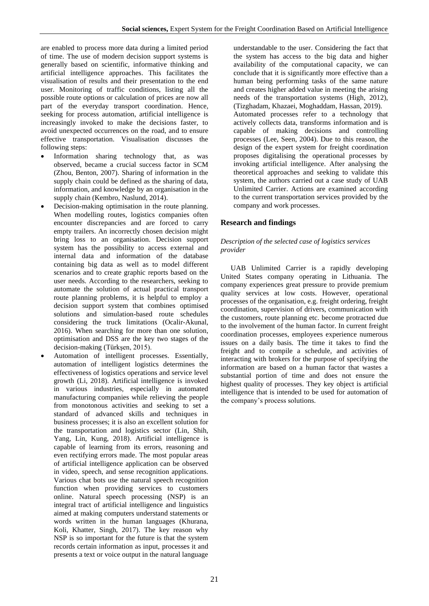are enabled to process more data during a limited period of time. The use of modern decision support systems is generally based on scientific, informative thinking and artificial intelligence approaches. This facilitates the visualisation of results and their presentation to the end user. Monitoring of traffic conditions, listing all the possible route options or calculation of prices are now all part of the everyday transport coordination. Hence, seeking for process automation, artificial intelligence is increasingly invoked to make the decisions faster, to avoid unexpected occurrences on the road, and to ensure effective transportation. Visualisation discusses the following steps:

- Information sharing technology that, as was observed, became a crucial success factor in SCM (Zhou, Benton, 2007). Sharing of information in the supply chain could be defined as the sharing of data, information, and knowledge by an organisation in the supply chain (Kembro, Naslund, 2014).
- Decision-making optimisation in the route planning. When modelling routes, logistics companies often encounter discrepancies and are forced to carry empty trailers. An incorrectly chosen decision might bring loss to an organisation. Decision support system has the possibility to access external and internal data and information of the database containing big data as well as to model different scenarios and to create graphic reports based on the user needs. According to the researchers, seeking to automate the solution of actual practical transport route planning problems, it is helpful to employ a decision support system that combines optimised solutions and simulation-based route schedules considering the truck limitations (Ocalir-Akunal, 2016). When searching for more than one solution, optimisation and DSS are the key two stages of the decision-making (Türkşen, 2015).
- Automation of intelligent processes. Essentially, automation of intelligent logistics determines the effectiveness of logistics operations and service level growth (Li, 2018). Artificial intelligence is invoked in various industries, especially in automated manufacturing companies while relieving the people from monotonous activities and seeking to set a standard of advanced skills and techniques in business processes; it is also an excellent solution for the transportation and logistics sector (Lin, Shih, Yang, Lin, Kung, 2018). Artificial intelligence is capable of learning from its errors, reasoning and even rectifying errors made. The most popular areas of artificial intelligence application can be observed in video, speech, and sense recognition applications. Various chat bots use the natural speech recognition function when providing services to customers online. Natural speech processing (NSP) is an integral tract of artificial intelligence and linguistics aimed at making computers understand statements or words written in the human languages (Khurana, Koli, Khatter, Singh, 2017). The key reason why NSP is so important for the future is that the system records certain information as input, processes it and presents a text or voice output in the natural language

understandable to the user. Considering the fact that the system has access to the big data and higher availability of the computational capacity, we can conclude that it is significantly more effective than a human being performing tasks of the same nature and creates higher added value in meeting the arising needs of the transportation systems (High, 2012), (Tizghadam, Khazaei, Moghaddam, Hassan, 2019). Automated processes refer to a technology that actively collects data, transforms information and is capable of making decisions and controlling processes (Lee, [Seen,](https://journals.sagepub.com/doi/pdf/10.1518/hfes.46.1.50_30392?casa_token=IM8ZC1eHEi0AAAAA:uV_7ME0nBlUtj-EjHKv4L3TXNtrWnSzMBEk2ul442E_n-U5uz_KHG19_9zWWpqfgIEWCQj8nQvs) 2004). Due to this reason, the design of the expert system for freight coordination proposes digitalising the operational processes by invoking artificial intelligence. After analysing the theoretical approaches and seeking to validate this system, the authors carried out a case study of UAB Unlimited Carrier. Actions are examined according to the current transportation services provided by the company and work processes.

# **Research and findings**

#### *Description of the selected case of logistics services provider*

UAB Unlimited Carrier is a rapidly developing United States company operating in Lithuania. The company experiences great pressure to provide premium quality services at low costs. However, operational processes of the organisation, e.g. freight ordering, freight coordination, supervision of drivers, communication with the customers, route planning etc. become protracted due to the involvement of the human factor. In current freight coordination processes, employees experience numerous issues on a daily basis. The time it takes to find the freight and to compile a schedule, and activities of interacting with brokers for the purpose of specifying the information are based on a human factor that wastes a substantial portion of time and does not ensure the highest quality of processes. They key object is artificial intelligence that is intended to be used for automation of the company's process solutions.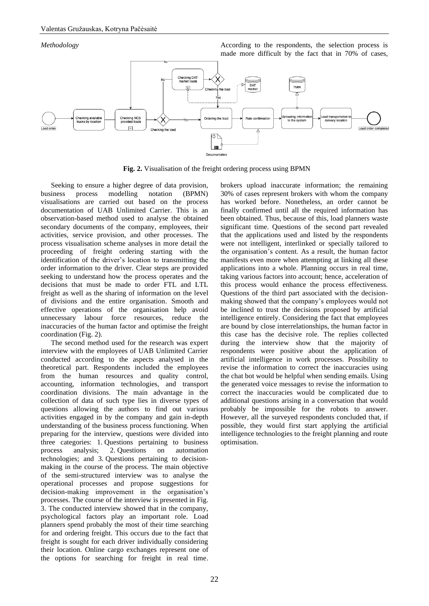

**Fig. 2.** Visualisation of the freight ordering process using BPMN

Seeking to ensure a higher degree of data provision, business process modelling notation (BPMN) visualisations are carried out based on the process documentation of UAB Unlimited Carrier. This is an observation-based method used to analyse the obtained secondary documents of the company, employees, their activities, service provision, and other processes. The process visualisation scheme analyses in more detail the proceeding of freight ordering starting with the identification of the driver's location to transmitting the order information to the driver. Clear steps are provided seeking to understand how the process operates and the decisions that must be made to order FTL and LTL freight as well as the sharing of information on the level of divisions and the entire organisation. Smooth and effective operations of the organisation help avoid unnecessary labour force resources, reduce the inaccuracies of the human factor and optimise the freight coordination (Fig. 2).

The second method used for the research was expert interview with the employees of UAB Unlimited Carrier conducted according to the aspects analysed in the theoretical part. Respondents included the employees from the human resources and quality control, accounting, information technologies, and transport coordination divisions. The main advantage in the collection of data of such type lies in diverse types of questions allowing the authors to find out various activities engaged in by the company and gain in-depth understanding of the business process functioning. When preparing for the interview, questions were divided into three categories: 1. Questions pertaining to business process analysis; 2. Questions on automation technologies; and 3. Questions pertaining to decisionmaking in the course of the process. The main objective of the semi-structured interview was to analyse the operational processes and propose suggestions for decision-making improvement in the organisation's processes. The course of the interview is presented in Fig. 3. The conducted interview showed that in the company, psychological factors play an important role. Load planners spend probably the most of their time searching for and ordering freight. This occurs due to the fact that freight is sought for each driver individually considering their location. Online cargo exchanges represent one of the options for searching for freight in real time.

brokers upload inaccurate information; the remaining 30% of cases represent brokers with whom the company has worked before. Nonetheless, an order cannot be finally confirmed until all the required information has been obtained. Thus, because of this, load planners waste significant time. Questions of the second part revealed that the applications used and listed by the respondents were not intelligent, interlinked or specially tailored to the organisation's content. As a result, the human factor manifests even more when attempting at linking all these applications into a whole. Planning occurs in real time, taking various factors into account; hence, acceleration of this process would enhance the process effectiveness. Questions of the third part associated with the decisionmaking showed that the company's employees would not be inclined to trust the decisions proposed by artificial intelligence entirely. Considering the fact that employees are bound by close interrelationships, the human factor in this case has the decisive role. The replies collected during the interview show that the majority of respondents were positive about the application of artificial intelligence in work processes. Possibility to revise the information to correct the inaccuracies using the chat bot would be helpful when sending emails. Using the generated voice messages to revise the information to correct the inaccuracies would be complicated due to additional questions arising in a conversation that would probably be impossible for the robots to answer. However, all the surveyed respondents concluded that, if possible, they would first start applying the artificial intelligence technologies to the freight planning and route optimisation.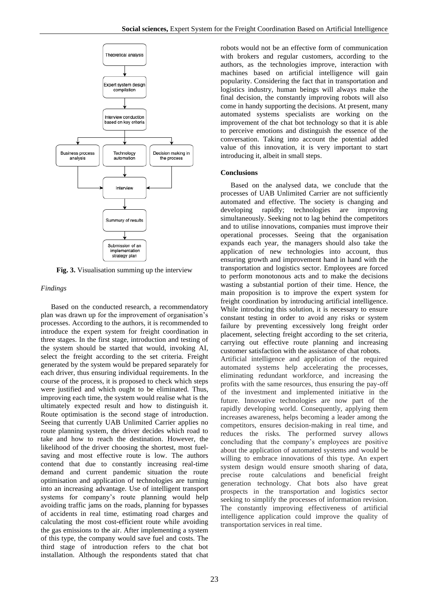

**Fig. 3.** Visualisation summing up the interview

#### *Findings*

Based on the conducted research, a recommendatory plan was drawn up for the improvement of organisation's processes. According to the authors, it is recommended to introduce the expert system for freight coordination in three stages. In the first stage, introduction and testing of the system should be started that would, invoking AI, select the freight according to the set criteria. Freight generated by the system would be prepared separately for each driver, thus ensuring individual requirements. In the course of the process, it is proposed to check which steps were justified and which ought to be eliminated. Thus, improving each time, the system would realise what is the ultimately expected result and how to distinguish it. Route optimisation is the second stage of introduction. Seeing that currently UAB Unlimited Carrier applies no route planning system, the driver decides which road to take and how to reach the destination. However, the likelihood of the driver choosing the shortest, most fuelsaving and most effective route is low. The authors contend that due to constantly increasing real-time demand and current pandemic situation the route optimisation and application of technologies are turning into an increasing advantage. Use of intelligent transport systems for company's route planning would help avoiding traffic jams on the roads, planning for bypasses of accidents in real time, estimating road charges and calculating the most cost-efficient route while avoiding the gas emissions to the air. After implementing a system of this type, the company would save fuel and costs. The third stage of introduction refers to the chat bot installation. Although the respondents stated that chat

robots would not be an effective form of communication with brokers and regular customers, according to the authors, as the technologies improve, interaction with machines based on artificial intelligence will gain popularity. Considering the fact that in transportation and logistics industry, human beings will always make the final decision, the constantly improving robots will also come in handy supporting the decisions. At present, many automated systems specialists are working on the improvement of the chat bot technology so that it is able to perceive emotions and distinguish the essence of the conversation. Taking into account the potential added value of this innovation, it is very important to start introducing it, albeit in small steps.

#### **Conclusions**

Based on the analysed data, we conclude that the processes of UAB Unlimited Carrier are not sufficiently automated and effective. The society is changing and developing rapidly; technologies are improving simultaneously. Seeking not to lag behind the competitors and to utilise innovations, companies must improve their operational processes. Seeing that the organisation expands each year, the managers should also take the application of new technologies into account, thus ensuring growth and improvement hand in hand with the transportation and logistics sector. Employees are forced to perform monotonous acts and to make the decisions wasting a substantial portion of their time. Hence, the main proposition is to improve the expert system for freight coordination by introducing artificial intelligence. While introducing this solution, it is necessary to ensure constant testing in order to avoid any risks or system failure by preventing excessively long freight order placement, selecting freight according to the set criteria, carrying out effective route planning and increasing customer satisfaction with the assistance of chat robots. Artificial intelligence and application of the required automated systems help accelerating the processes, eliminating redundant workforce, and increasing the profits with the same resources, thus ensuring the pay-off of the investment and implemented initiative in the future. Innovative technologies are now part of the rapidly developing world. Consequently, applying them increases awareness, helps becoming a leader among the competitors, ensures decision-making in real time, and reduces the risks. The performed survey allows concluding that the company's employees are positive about the application of automated systems and would be willing to embrace innovations of this type. An expert system design would ensure smooth sharing of data, precise route calculations and beneficial freight generation technology. Chat bots also have great prospects in the transportation and logistics sector seeking to simplify the processes of information revision. The constantly improving effectiveness of artificial intelligence application could improve the quality of transportation services in real time.